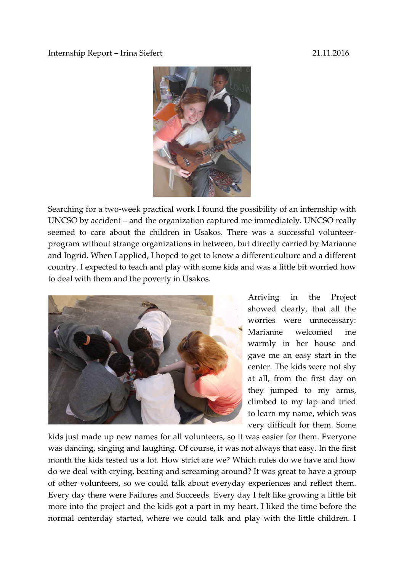## Internship Report – Irina Siefert 21.11.2016



Searching for a two-week practical work I found the possibility of an internship with UNCSO by accident – and the organization captured me immediately. UNCSO really seemed to care about the children in Usakos. There was a successful volunteerprogram without strange organizations in between, but directly carried by Marianne and Ingrid. When I applied, I hoped to get to know a different culture and a different country. I expected to teach and play with some kids and was a little bit worried how to deal with them and the poverty in Usakos.



Arriving in the Project showed clearly, that all the worries were unnecessary: Marianne welcomed me warmly in her house and gave me an easy start in the center. The kids were not shy at all, from the first day on they jumped to my arms, climbed to my lap and tried to learn my name, which was very difficult for them. Some

kids just made up new names for all volunteers, so it was easier for them. Everyone was dancing, singing and laughing. Of course, it was not always that easy. In the first month the kids tested us a lot. How strict are we? Which rules do we have and how do we deal with crying, beating and screaming around? It was great to have a group of other volunteers, so we could talk about everyday experiences and reflect them. Every day there were Failures and Succeeds. Every day I felt like growing a little bit more into the project and the kids got a part in my heart. I liked the time before the normal centerday started, where we could talk and play with the little children. I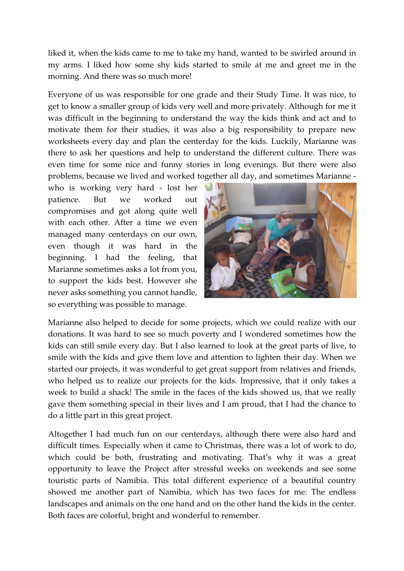liked it, when the kids came to me to take my hand, wanted to be swirled around in my arms. I liked how some shy kids started to smile at me and greet me in the morning. And there was so much more!

Everyone of us was responsible for one grade and their Study Time. It was nice, to get to know a smaller group of kids very well and more privately. Although for me it was difficult in the beginning to understand the way the kids think and act and to motivate them for their studies, it was also a big responsibility to prepare new worksheets every day and plan the centerday for the kids. Luckily, Marianne was there to ask her questions and help to understand the different culture. There was even time for some nice and funny stories in long evenings. But there were also problems, because we lived and worked together all day, and sometimes Marianne -

who is working very hard - lost her patience. But we worked out compromises and got along quite well with each other. After a time we even managed many centerdays on our own, even though it was hard in the beginning. I had the feeling, that Marianne sometimes asks a lot from you, to support the kids best. However she never asks something you cannot handle, so everything was possible to manage.



Marianne also helped to decide for some projects, which we could realize with our donations. It was hard to see so much poverty and I wondered sometimes how the kids can still smile every day. But I also learned to look at the great parts of live, to smile with the kids and give them love and attention to lighten their day. When we started our projects, it was wonderful to get great support from relatives and friends, who helped us to realize our projects for the kids. Impressive, that it only takes a week to build a shack! The smile in the faces of the kids showed us, that we really gave them something special in their lives and I am proud, that I had the chance to do a little part in this great project.

Altogether I had much fun on our centerdays, although there were also hard and difficult times. Especially when it came to Christmas, there was a lot of work to do, which could be both, frustrating and motivating. That's why it was a great opportunity to leave the Project after stressful weeks on weekends and see some touristic parts of Namibia. This total different experience of a beautiful country showed me another part of Namibia, which has two faces for me: The endless landscapes and animals on the one hand and on the other hand the kids in the center. Both faces are colorful, bright and wonderful to remember.